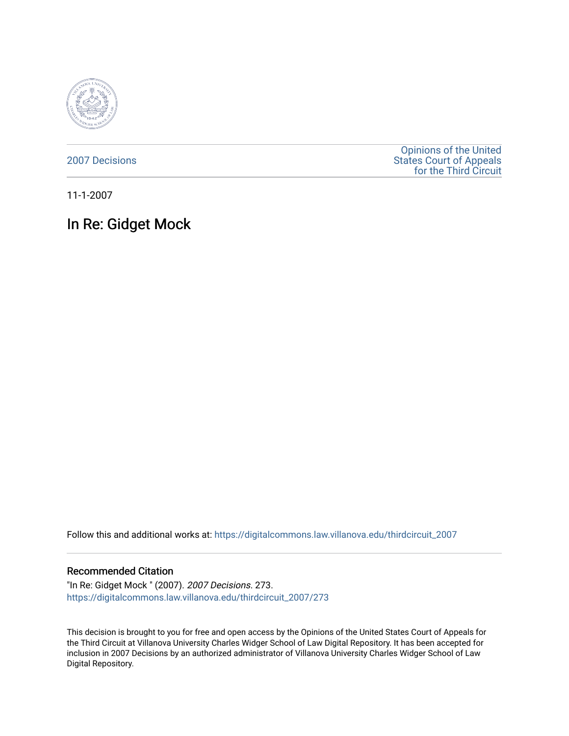

[2007 Decisions](https://digitalcommons.law.villanova.edu/thirdcircuit_2007)

[Opinions of the United](https://digitalcommons.law.villanova.edu/thirdcircuit)  [States Court of Appeals](https://digitalcommons.law.villanova.edu/thirdcircuit)  [for the Third Circuit](https://digitalcommons.law.villanova.edu/thirdcircuit) 

11-1-2007

# In Re: Gidget Mock

Follow this and additional works at: [https://digitalcommons.law.villanova.edu/thirdcircuit\\_2007](https://digitalcommons.law.villanova.edu/thirdcircuit_2007?utm_source=digitalcommons.law.villanova.edu%2Fthirdcircuit_2007%2F273&utm_medium=PDF&utm_campaign=PDFCoverPages) 

#### Recommended Citation

"In Re: Gidget Mock " (2007). 2007 Decisions. 273. [https://digitalcommons.law.villanova.edu/thirdcircuit\\_2007/273](https://digitalcommons.law.villanova.edu/thirdcircuit_2007/273?utm_source=digitalcommons.law.villanova.edu%2Fthirdcircuit_2007%2F273&utm_medium=PDF&utm_campaign=PDFCoverPages)

This decision is brought to you for free and open access by the Opinions of the United States Court of Appeals for the Third Circuit at Villanova University Charles Widger School of Law Digital Repository. It has been accepted for inclusion in 2007 Decisions by an authorized administrator of Villanova University Charles Widger School of Law Digital Repository.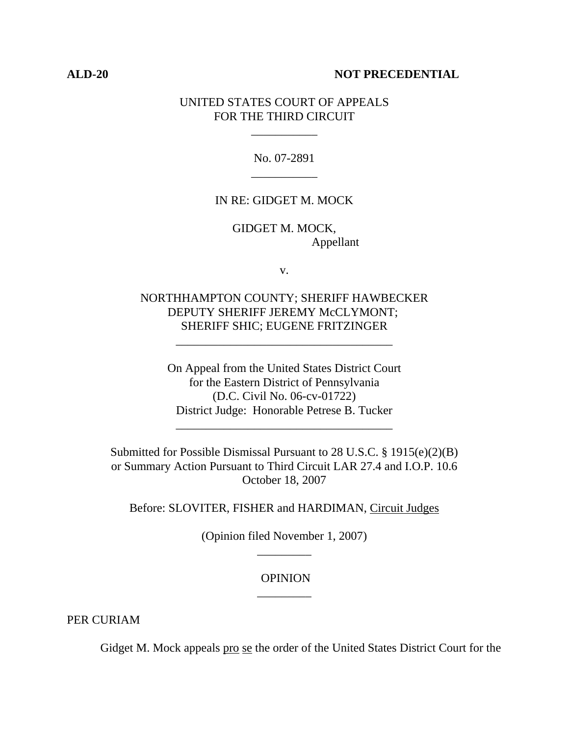#### **ALD-20 NOT PRECEDENTIAL**

## UNITED STATES COURT OF APPEALS FOR THE THIRD CIRCUIT

\_\_\_\_\_\_\_\_\_\_\_

No. 07-2891 \_\_\_\_\_\_\_\_\_\_\_

#### IN RE: GIDGET M. MOCK

GIDGET M. MOCK, Appellant

v.

## NORTHHAMPTON COUNTY; SHERIFF HAWBECKER DEPUTY SHERIFF JEREMY McCLYMONT; SHERIFF SHIC; EUGENE FRITZINGER

\_\_\_\_\_\_\_\_\_\_\_\_\_\_\_\_\_\_\_\_\_\_\_\_\_\_\_\_\_\_\_\_\_\_\_\_

On Appeal from the United States District Court for the Eastern District of Pennsylvania (D.C. Civil No. 06-cv-01722) District Judge: Honorable Petrese B. Tucker

\_\_\_\_\_\_\_\_\_\_\_\_\_\_\_\_\_\_\_\_\_\_\_\_\_\_\_\_\_\_\_\_\_\_\_\_

Submitted for Possible Dismissal Pursuant to 28 U.S.C. § 1915(e)(2)(B) or Summary Action Pursuant to Third Circuit LAR 27.4 and I.O.P. 10.6 October 18, 2007

Before: SLOVITER, FISHER and HARDIMAN, Circuit Judges

(Opinion filed November 1, 2007) \_\_\_\_\_\_\_\_\_

## OPINION \_\_\_\_\_\_\_\_\_

PER CURIAM

Gidget M. Mock appeals pro se the order of the United States District Court for the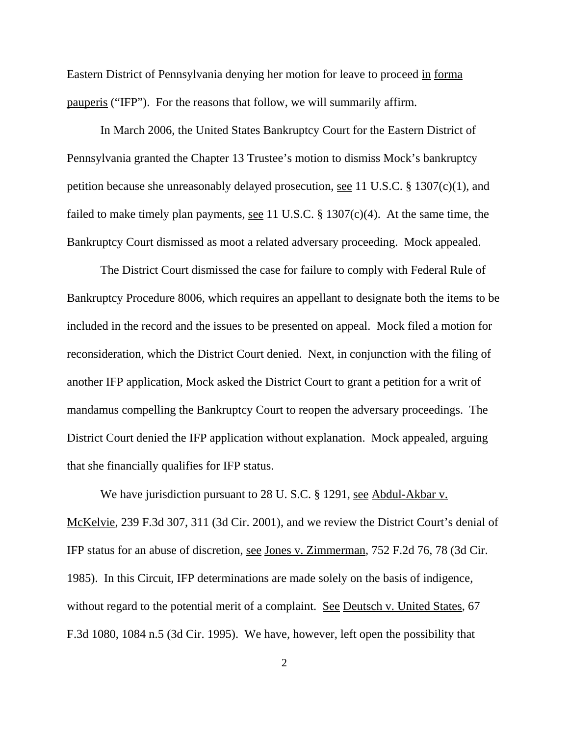Eastern District of Pennsylvania denying her motion for leave to proceed in forma pauperis ("IFP"). For the reasons that follow, we will summarily affirm.

In March 2006, the United States Bankruptcy Court for the Eastern District of Pennsylvania granted the Chapter 13 Trustee's motion to dismiss Mock's bankruptcy petition because she unreasonably delayed prosecution, see 11 U.S.C. § 1307(c)(1), and failed to make timely plan payments, <u>see</u> 11 U.S.C. § 1307(c)(4). At the same time, the Bankruptcy Court dismissed as moot a related adversary proceeding. Mock appealed.

The District Court dismissed the case for failure to comply with Federal Rule of Bankruptcy Procedure 8006, which requires an appellant to designate both the items to be included in the record and the issues to be presented on appeal. Mock filed a motion for reconsideration, which the District Court denied. Next, in conjunction with the filing of another IFP application, Mock asked the District Court to grant a petition for a writ of mandamus compelling the Bankruptcy Court to reopen the adversary proceedings. The District Court denied the IFP application without explanation. Mock appealed, arguing that she financially qualifies for IFP status.

We have jurisdiction pursuant to 28 U.S.C. § 1291, see Abdul-Akbar v. McKelvie, 239 F.3d 307, 311 (3d Cir. 2001), and we review the District Court's denial of IFP status for an abuse of discretion, see Jones v. Zimmerman, 752 F.2d 76, 78 (3d Cir. 1985). In this Circuit, IFP determinations are made solely on the basis of indigence, without regard to the potential merit of a complaint. See Deutsch v. United States, 67 F.3d 1080, 1084 n.5 (3d Cir. 1995). We have, however, left open the possibility that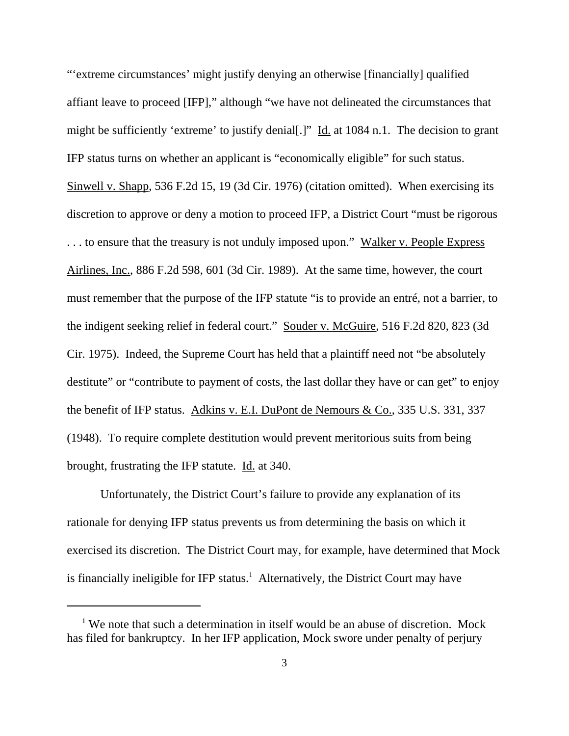"'extreme circumstances' might justify denying an otherwise [financially] qualified affiant leave to proceed [IFP]," although "we have not delineated the circumstances that might be sufficiently 'extreme' to justify denial[.]" Id. at 1084 n.1. The decision to grant IFP status turns on whether an applicant is "economically eligible" for such status. Sinwell v. Shapp, 536 F.2d 15, 19 (3d Cir. 1976) (citation omitted). When exercising its discretion to approve or deny a motion to proceed IFP, a District Court "must be rigorous ... to ensure that the treasury is not unduly imposed upon." Walker v. People Express Airlines, Inc., 886 F.2d 598, 601 (3d Cir. 1989). At the same time, however, the court must remember that the purpose of the IFP statute "is to provide an entré, not a barrier, to the indigent seeking relief in federal court." Souder v. McGuire, 516 F.2d 820, 823 (3d Cir. 1975). Indeed, the Supreme Court has held that a plaintiff need not "be absolutely destitute" or "contribute to payment of costs, the last dollar they have or can get" to enjoy the benefit of IFP status. Adkins v. E.I. DuPont de Nemours & Co., 335 U.S. 331, 337 (1948). To require complete destitution would prevent meritorious suits from being brought, frustrating the IFP statute. Id. at 340.

Unfortunately, the District Court's failure to provide any explanation of its rationale for denying IFP status prevents us from determining the basis on which it exercised its discretion. The District Court may, for example, have determined that Mock is financially ineligible for IFP status.<sup>1</sup> Alternatively, the District Court may have

<sup>&</sup>lt;sup>1</sup> We note that such a determination in itself would be an abuse of discretion. Mock has filed for bankruptcy. In her IFP application, Mock swore under penalty of perjury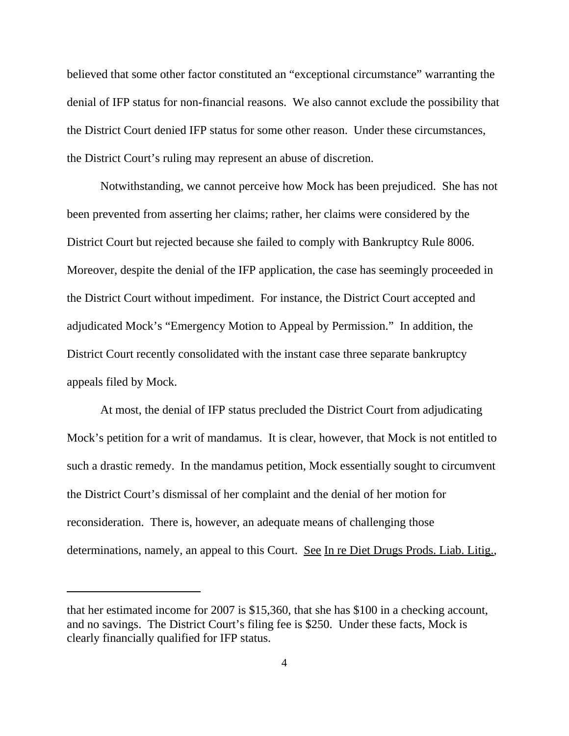believed that some other factor constituted an "exceptional circumstance" warranting the denial of IFP status for non-financial reasons. We also cannot exclude the possibility that the District Court denied IFP status for some other reason. Under these circumstances, the District Court's ruling may represent an abuse of discretion.

Notwithstanding, we cannot perceive how Mock has been prejudiced. She has not been prevented from asserting her claims; rather, her claims were considered by the District Court but rejected because she failed to comply with Bankruptcy Rule 8006. Moreover, despite the denial of the IFP application, the case has seemingly proceeded in the District Court without impediment. For instance, the District Court accepted and adjudicated Mock's "Emergency Motion to Appeal by Permission." In addition, the District Court recently consolidated with the instant case three separate bankruptcy appeals filed by Mock.

At most, the denial of IFP status precluded the District Court from adjudicating Mock's petition for a writ of mandamus. It is clear, however, that Mock is not entitled to such a drastic remedy. In the mandamus petition, Mock essentially sought to circumvent the District Court's dismissal of her complaint and the denial of her motion for reconsideration. There is, however, an adequate means of challenging those determinations, namely, an appeal to this Court. See In re Diet Drugs Prods. Liab. Litig.,

that her estimated income for 2007 is \$15,360, that she has \$100 in a checking account, and no savings. The District Court's filing fee is \$250. Under these facts, Mock is clearly financially qualified for IFP status.